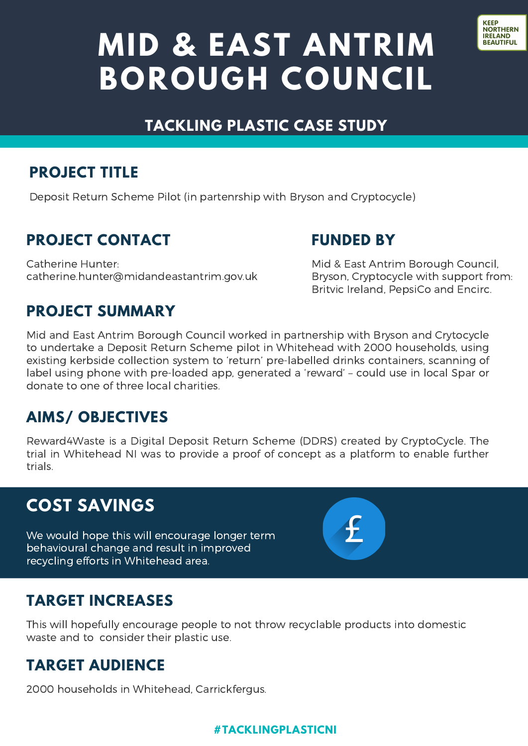# **MID & EAST ANTRIM BOROUGH COUNCIL**



# **TACKLING PLASTIC CASE STUDY**

#### **PROJECT TITLE**

Deposit Return Scheme Pilot (in partenrship with Bryson and Cryptocycle)

# **PROJECT CONTACT**

Catherine Hunte[r:](mailto:waste.education@lisburncastlereagh.gov.uk) [catherine.hunter@midandeastantrim.gov.uk](mailto:waste.education@lisburncastlereagh.gov.uk)

#### **FUNDED BY**

Mid & East Antrim Borough Council, Bryson, Cryptocycle with support from: Britvic Ireland, PepsiCo and Encirc.

# **PROJECT SUMMARY**

Mid and East Antrim Borough Council worked in partnership with Bryson and Crytocycle to undertake a Deposit Return Scheme pilot in Whitehead with 2000 households, using existing kerbside collection system to 'return' pre-labelled drinks containers, scanning of label using phone with pre-loaded app, generated a 'reward' – could use in local Spar or donate to one of three local charities.

# **AIMS/ OBJECTIVES**

Reward4Waste is a Digital Deposit Return Scheme (DDRS) created by CryptoCycle. The trial in Whitehead NI was to provide a proof of concept as a platform to enable further trials.

# **COST SAVINGS**

We would hope this will encourage longer term behavioural change and result in improved recycling efforts in Whitehead area.

# **TARGET INCREASES**

This will hopefully encourage people to not throw recyclable products into domestic waste and to consider their plastic use.

# **TARGET AUDIENCE**

2000 households in Whitehead, Carrickfergus.

#### **#TACKLINGPLASTICNI**